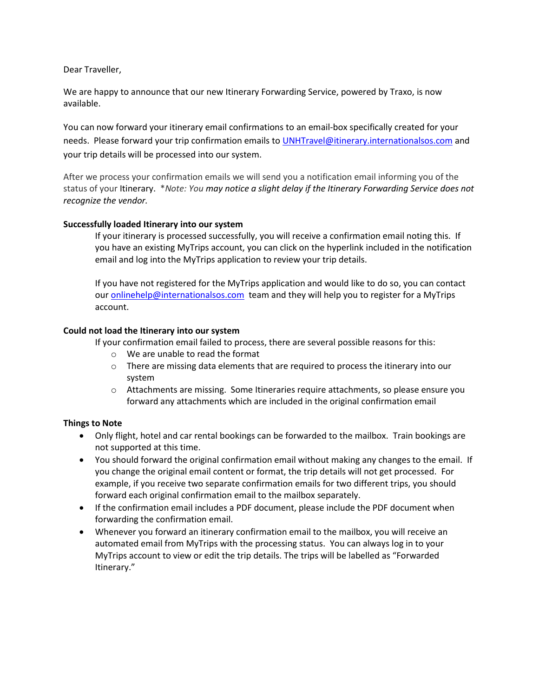Dear Traveller,

We are happy to announce that our new Itinerary Forwarding Service, powered by Traxo, is now available.

You can now forward your itinerary email confirmations to an email-box specifically created for your needs. Please forward your trip confirmation emails to [UNHTravel@itinerary.internationalsos.com](mailto:UNHTravel@itinerary.internationalsos.com) and your trip details will be processed into our system.

After we process your confirmation emails we will send you a notification email informing you of the status of your Itinerary. \**Note: You may notice a slight delay if the Itinerary Forwarding Service does not recognize the vendor.*

## **Successfully loaded Itinerary into our system**

If your itinerary is processed successfully, you will receive a confirmation email noting this. If you have an existing MyTrips account, you can click on the hyperlink included in the notification email and log into the MyTrips application to review your trip details.

If you have not registered for the MyTrips application and would like to do so, you can contact our [onlinehelp@internationalsos.com](mailto:onlinehelp@internationalsos.com) team and they will help you to register for a MyTrips account.

## **Could not load the Itinerary into our system**

If your confirmation email failed to process, there are several possible reasons for this:

- o We are unable to read the format
- $\circ$  There are missing data elements that are required to process the itinerary into our system
- o Attachments are missing. Some Itineraries require attachments, so please ensure you forward any attachments which are included in the original confirmation email

## **Things to Note**

- Only flight, hotel and car rental bookings can be forwarded to the mailbox. Train bookings are not supported at this time.
- You should forward the original confirmation email without making any changes to the email. If you change the original email content or format, the trip details will not get processed. For example, if you receive two separate confirmation emails for two different trips, you should forward each original confirmation email to the mailbox separately.
- If the confirmation email includes a PDF document, please include the PDF document when forwarding the confirmation email.
- Whenever you forward an itinerary confirmation email t[o the](mailto:MyTrips@travelsecurity.com) mailbox, you will receive an automated email from MyTrips with the processing status. You can always log in to your MyTrips account to view or edit the trip details. The trips will be labelled as "Forwarded Itinerary."